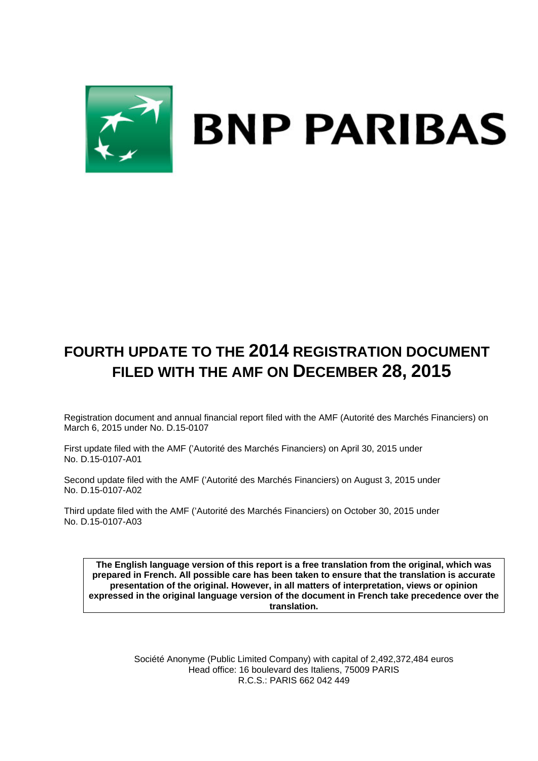

# **FOURTH UPDATE TO THE 2014 REGISTRATION DOCUMENT FILED WITH THE AMF ON DECEMBER 28, 2015**

Registration document and annual financial report filed with the AMF (Autorité des Marchés Financiers) on March 6, 2015 under No. D.15-0107

First update filed with the AMF ('Autorité des Marchés Financiers) on April 30, 2015 under No. D.15-0107-A01

Second update filed with the AMF ('Autorité des Marchés Financiers) on August 3, 2015 under No. D.15-0107-A02

Third update filed with the AMF ('Autorité des Marchés Financiers) on October 30, 2015 under No. D.15-0107-A03

**The English language version of this report is a free translation from the original, which was prepared in French. All possible care has been taken to ensure that the translation is accurate presentation of the original. However, in all matters of interpretation, views or opinion expressed in the original language version of the document in French take precedence over the translation.** 

> Société Anonyme (Public Limited Company) with capital of 2,492,372,484 euros Head office: 16 boulevard des Italiens, 75009 PARIS R.C.S.: PARIS 662 042 449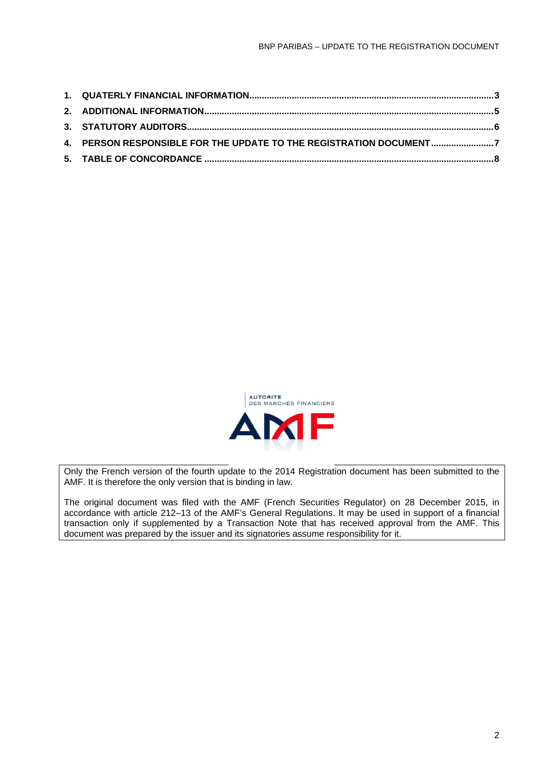| 4. PERSON RESPONSIBLE FOR THE UPDATE TO THE REGISTRATION DOCUMENT7 |  |
|--------------------------------------------------------------------|--|
|                                                                    |  |
|                                                                    |  |



Only the French version of the fourth update to the 2014 Registration document has been submitted to the AMF. It is therefore the only version that is binding in law.

The original document was filed with the AMF (French Securities Regulator) on 28 December 2015, in accordance with article 212–13 of the AMF's General Regulations. It may be used in support of a financial transaction only if supplemented by a Transaction Note that has received approval from the AMF. This document was prepared by the issuer and its signatories assume responsibility for it.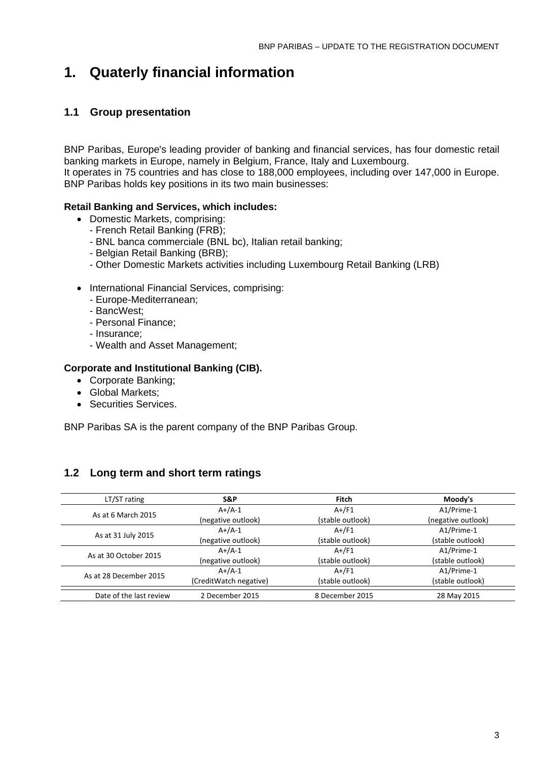## **1. Quaterly financial information**

## **1.1 Group presentation**

BNP Paribas, Europe's leading provider of banking and financial services, has four domestic retail banking markets in Europe, namely in Belgium, France, Italy and Luxembourg. It operates in 75 countries and has close to 188,000 employees, including over 147,000 in Europe. BNP Paribas holds key positions in its two main businesses:

#### **Retail Banking and Services, which includes:**

- Domestic Markets, comprising:
	- French Retail Banking (FRB);
	- BNL banca commerciale (BNL bc), Italian retail banking;
	- Belgian Retail Banking (BRB);
	- Other Domestic Markets activities including Luxembourg Retail Banking (LRB)
- International Financial Services, comprising:
	- Europe-Mediterranean;
	- BancWest;
	- Personal Finance;
	- Insurance;
	- Wealth and Asset Management;

#### **Corporate and Institutional Banking (CIB).**

- Corporate Banking;
- Global Markets:
- Securities Services.

BNP Paribas SA is the parent company of the BNP Paribas Group.

### **1.2 Long term and short term ratings**

| LT/ST rating            | S&P                    | Fitch            | Moody's            |
|-------------------------|------------------------|------------------|--------------------|
| As at 6 March 2015      | $A+/A-1$               | $A+/F1$          | A1/Prime-1         |
|                         | (negative outlook)     | (stable outlook) | (negative outlook) |
|                         | $A+/A-1$               | $A+$ /F1         | A1/Prime-1         |
| As at 31 July 2015      | (negative outlook)     | (stable outlook) | (stable outlook)   |
| As at 30 October 2015   | $A+/A-1$               | $A+$ /F1         | A1/Prime-1         |
|                         | (negative outlook)     | (stable outlook) | (stable outlook)   |
| As at 28 December 2015  | $A+/A-1$               | $A+/F1$          | A1/Prime-1         |
|                         | (CreditWatch negative) | (stable outlook) | (stable outlook)   |
| Date of the last review | 2 December 2015        | 8 December 2015  | 28 May 2015        |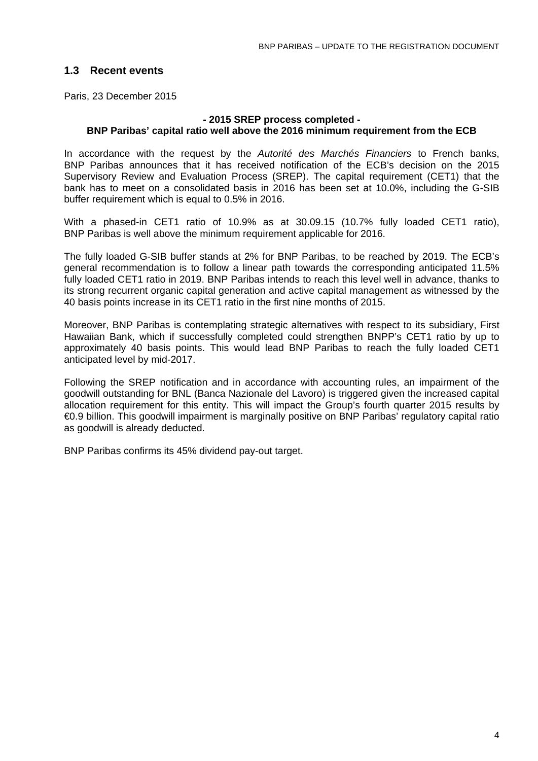## **1.3 Recent events**

Paris, 23 December 2015

#### **- 2015 SREP process completed - BNP Paribas' capital ratio well above the 2016 minimum requirement from the ECB**

In accordance with the request by the *Autorité des Marchés Financiers* to French banks, BNP Paribas announces that it has received notification of the ECB's decision on the 2015 Supervisory Review and Evaluation Process (SREP). The capital requirement (CET1) that the bank has to meet on a consolidated basis in 2016 has been set at 10.0%, including the G-SIB buffer requirement which is equal to 0.5% in 2016.

With a phased-in CET1 ratio of 10.9% as at 30.09.15 (10.7% fully loaded CET1 ratio), BNP Paribas is well above the minimum requirement applicable for 2016.

The fully loaded G-SIB buffer stands at 2% for BNP Paribas, to be reached by 2019. The ECB's general recommendation is to follow a linear path towards the corresponding anticipated 11.5% fully loaded CET1 ratio in 2019. BNP Paribas intends to reach this level well in advance, thanks to its strong recurrent organic capital generation and active capital management as witnessed by the 40 basis points increase in its CET1 ratio in the first nine months of 2015.

Moreover, BNP Paribas is contemplating strategic alternatives with respect to its subsidiary, First Hawaiian Bank, which if successfully completed could strengthen BNPP's CET1 ratio by up to approximately 40 basis points. This would lead BNP Paribas to reach the fully loaded CET1 anticipated level by mid-2017.

Following the SREP notification and in accordance with accounting rules, an impairment of the goodwill outstanding for BNL (Banca Nazionale del Lavoro) is triggered given the increased capital allocation requirement for this entity. This will impact the Group's fourth quarter 2015 results by €0.9 billion. This goodwill impairment is marginally positive on BNP Paribas' regulatory capital ratio as goodwill is already deducted.

BNP Paribas confirms its 45% dividend pay-out target.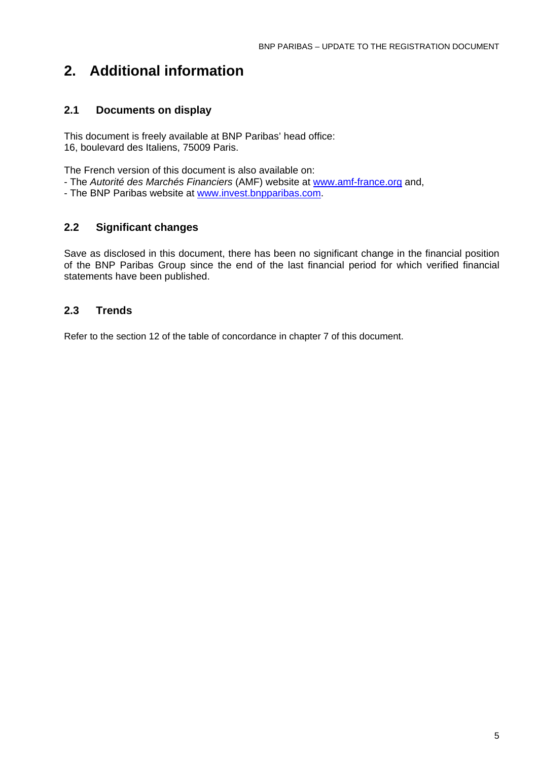## **2. Additional information**

## **2.1 Documents on display**

This document is freely available at BNP Paribas' head office: 16, boulevard des Italiens, 75009 Paris.

The French version of this document is also available on:

- The *Autorité des Marchés Financiers* (AMF) website at www.amf-france.org and,
- The BNP Paribas website at www.invest.bnpparibas.com.

### **2.2 Significant changes**

Save as disclosed in this document, there has been no significant change in the financial position of the BNP Paribas Group since the end of the last financial period for which verified financial statements have been published.

## **2.3 Trends**

Refer to the section 12 of the table of concordance in chapter 7 of this document.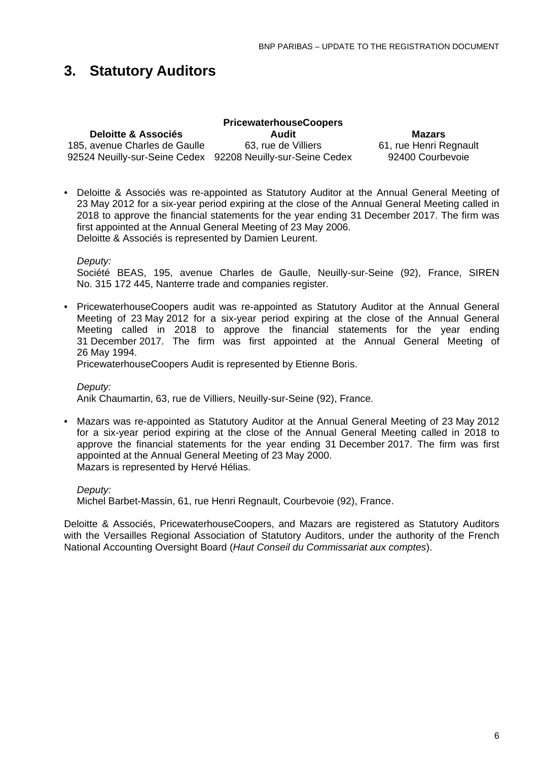## **3. Statutory Auditors**

| <b>PricewaterhouseCoopers</b>                               |                     |                        |  |  |  |  |
|-------------------------------------------------------------|---------------------|------------------------|--|--|--|--|
| <b>Deloitte &amp; Associés</b>                              | Audit               | <b>Mazars</b>          |  |  |  |  |
| 185, avenue Charles de Gaulle                               | 63, rue de Villiers | 61, rue Henri Regnault |  |  |  |  |
| 92524 Neuilly-sur-Seine Cedex 92208 Neuilly-sur-Seine Cedex |                     | 92400 Courbevoie       |  |  |  |  |

• Deloitte & Associés was re-appointed as Statutory Auditor at the Annual General Meeting of 23 May 2012 for a six-year period expiring at the close of the Annual General Meeting called in 2018 to approve the financial statements for the year ending 31 December 2017. The firm was first appointed at the Annual General Meeting of 23 May 2006. Deloitte & Associés is represented by Damien Leurent.

*Deputy:*

Société BEAS, 195, avenue Charles de Gaulle, Neuilly-sur-Seine (92), France, SIREN No. 315 172 445, Nanterre trade and companies register.

• PricewaterhouseCoopers audit was re-appointed as Statutory Auditor at the Annual General Meeting of 23 May 2012 for a six-year period expiring at the close of the Annual General Meeting called in 2018 to approve the financial statements for the year ending 31 December 2017. The firm was first appointed at the Annual General Meeting of 26 May 1994.

PricewaterhouseCoopers Audit is represented by Etienne Boris.

*Deputy:* Anik Chaumartin, 63, rue de Villiers, Neuilly-sur-Seine (92), France.

• Mazars was re-appointed as Statutory Auditor at the Annual General Meeting of 23 May 2012 for a six-year period expiring at the close of the Annual General Meeting called in 2018 to approve the financial statements for the year ending 31 December 2017. The firm was first appointed at the Annual General Meeting of 23 May 2000. Mazars is represented by Hervé Hélias.

*Deputy:*

Michel Barbet-Massin, 61, rue Henri Regnault, Courbevoie (92), France.

Deloitte & Associés, PricewaterhouseCoopers, and Mazars are registered as Statutory Auditors with the Versailles Regional Association of Statutory Auditors, under the authority of the French National Accounting Oversight Board (*Haut Conseil du Commissariat aux comptes*).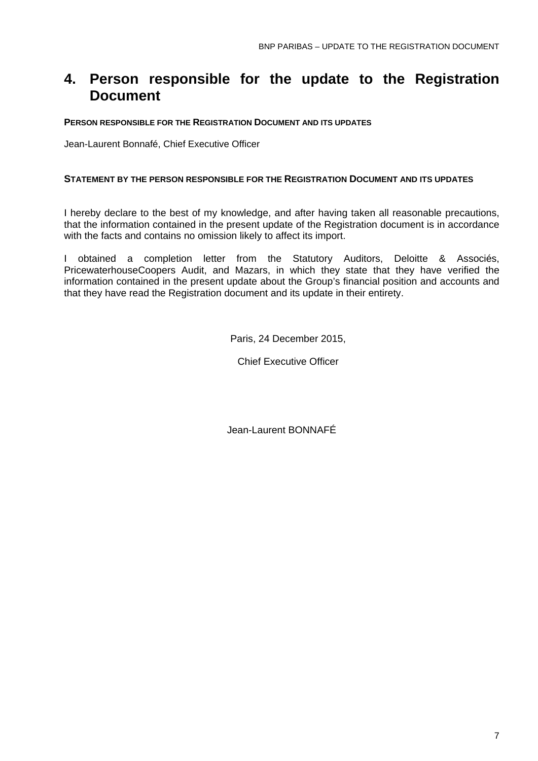## **4. Person responsible for the update to the Registration Document**

#### **PERSON RESPONSIBLE FOR THE REGISTRATION DOCUMENT AND ITS UPDATES**

Jean-Laurent Bonnafé, Chief Executive Officer

#### **STATEMENT BY THE PERSON RESPONSIBLE FOR THE REGISTRATION DOCUMENT AND ITS UPDATES**

I hereby declare to the best of my knowledge, and after having taken all reasonable precautions, that the information contained in the present update of the Registration document is in accordance with the facts and contains no omission likely to affect its import.

I obtained a completion letter from the Statutory Auditors, Deloitte & Associés, PricewaterhouseCoopers Audit, and Mazars, in which they state that they have verified the information contained in the present update about the Group's financial position and accounts and that they have read the Registration document and its update in their entirety.

Paris, 24 December 2015,

Chief Executive Officer

Jean-Laurent BONNAFÉ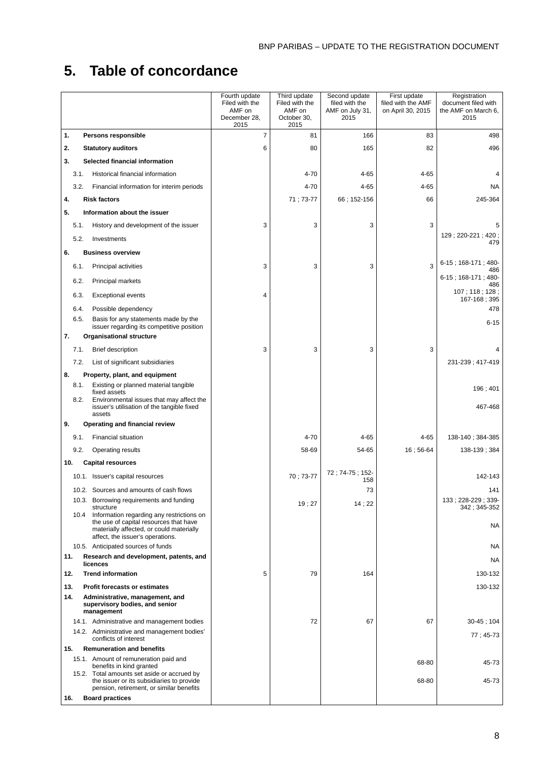# **5. Table of concordance**

|                                                                                                          | Fourth update<br>Filed with the | Third update<br>Filed with the | Second update<br>filed with the | First update<br>filed with the AMF | Registration<br>document filed with |
|----------------------------------------------------------------------------------------------------------|---------------------------------|--------------------------------|---------------------------------|------------------------------------|-------------------------------------|
|                                                                                                          | AMF on<br>December 28.          | AMF on<br>October 30,          | AMF on July 31,<br>2015         | on April 30, 2015                  | the AMF on March 6,<br>2015         |
|                                                                                                          | 2015                            | 2015                           |                                 |                                    |                                     |
| 1.<br>Persons responsible                                                                                | 7                               | 81                             | 166                             | 83                                 | 498                                 |
| 2.<br><b>Statutory auditors</b>                                                                          | 6                               | 80                             | 165                             | 82                                 | 496                                 |
| Selected financial information<br>3.                                                                     |                                 |                                |                                 |                                    |                                     |
| Historical financial information<br>3.1.                                                                 |                                 | 4-70                           | 4-65                            | $4 - 65$                           |                                     |
| Financial information for interim periods<br>3.2.                                                        |                                 | $4 - 70$                       | 4-65                            | 4-65                               | <b>NA</b>                           |
| <b>Risk factors</b><br>4.                                                                                |                                 | 71; 73-77                      | 66 : 152-156                    | 66                                 | 245-364                             |
| 5.<br>Information about the issuer                                                                       |                                 |                                |                                 |                                    |                                     |
| History and development of the issuer<br>5.1.                                                            | 3                               | 3                              | 3                               | 3                                  | 5                                   |
| 5.2.<br>Investments                                                                                      |                                 |                                |                                 |                                    | 129; 220-221; 420;<br>479           |
| <b>Business overview</b><br>6.                                                                           |                                 |                                |                                 |                                    |                                     |
| Principal activities<br>6.1.                                                                             | 3                               | 3                              | 3                               | 3                                  | 6-15; 168-171; 480-<br>486          |
| 6.2.<br>Principal markets                                                                                |                                 |                                |                                 |                                    | $6-15$ ; 168-171; 480-<br>486       |
| <b>Exceptional events</b><br>6.3.                                                                        | 4                               |                                |                                 |                                    | 107; 118; 128;<br>167-168; 395      |
| 6.4.<br>Possible dependency                                                                              |                                 |                                |                                 |                                    | 478                                 |
| 6.5.<br>Basis for any statements made by the<br>issuer regarding its competitive position                |                                 |                                |                                 |                                    | $6 - 15$                            |
| 7.<br><b>Organisational structure</b>                                                                    |                                 |                                |                                 |                                    |                                     |
| <b>Brief description</b><br>7.1.                                                                         | 3                               | 3                              | 3                               | 3                                  |                                     |
| 7.2.<br>List of significant subsidiaries                                                                 |                                 |                                |                                 |                                    | 231-239; 417-419                    |
| Property, plant, and equipment<br>8.<br>8.1.<br>Existing or planned material tangible                    |                                 |                                |                                 |                                    |                                     |
| fixed assets                                                                                             |                                 |                                |                                 |                                    | 196; 401                            |
| 8.2.<br>Environmental issues that may affect the<br>issuer's utilisation of the tangible fixed<br>assets |                                 |                                |                                 |                                    | 467-468                             |
| 9.<br>Operating and financial review                                                                     |                                 |                                |                                 |                                    |                                     |
| <b>Financial situation</b><br>9.1.                                                                       |                                 | $4 - 70$                       | 4-65                            | $4 - 65$                           | 138-140; 384-385                    |
| <b>Operating results</b><br>9.2.                                                                         |                                 | 58-69                          | 54-65                           | 16; 56-64                          | 138-139; 384                        |
| <b>Capital resources</b><br>10.                                                                          |                                 |                                |                                 |                                    |                                     |
| 10.1. Issuer's capital resources                                                                         |                                 | 70 : 73-77                     | 72; 74-75; 152-<br>158          |                                    | 142-143                             |
| 10.2. Sources and amounts of cash flows                                                                  |                                 |                                | 73                              |                                    | 141                                 |
| 10.3. Borrowing requirements and funding<br>structure                                                    |                                 | 19;27                          | 14;22                           |                                    | 133; 228-229; 339-<br>342; 345-352  |
| 10.4<br>Information regarding any restrictions on                                                        |                                 |                                |                                 |                                    |                                     |
| the use of capital resources that have<br>materially affected, or could materially                       |                                 |                                |                                 |                                    | <b>NA</b>                           |
| affect, the issuer's operations.<br>10.5. Anticipated sources of funds                                   |                                 |                                |                                 |                                    | <b>NA</b>                           |
| 11.<br>Research and development, patents, and                                                            |                                 |                                |                                 |                                    | <b>NA</b>                           |
| licences<br>12.<br><b>Trend information</b>                                                              | 5                               | 79                             | 164                             |                                    | 130-132                             |
| 13.<br><b>Profit forecasts or estimates</b>                                                              |                                 |                                |                                 |                                    | 130-132                             |
| 14.<br>Administrative, management, and                                                                   |                                 |                                |                                 |                                    |                                     |
| supervisory bodies, and senior<br>management                                                             |                                 |                                |                                 |                                    |                                     |
| 14.1. Administrative and management bodies                                                               |                                 | 72                             | 67                              | 67                                 | $30 - 45$ ; 104                     |
| 14.2. Administrative and management bodies'<br>conflicts of interest                                     |                                 |                                |                                 |                                    | 77; 45-73                           |
| 15.<br><b>Remuneration and benefits</b>                                                                  |                                 |                                |                                 |                                    |                                     |
| 15.1. Amount of remuneration paid and<br>benefits in kind granted                                        |                                 |                                |                                 | 68-80                              | 45-73                               |
| 15.2. Total amounts set aside or accrued by<br>the issuer or its subsidiaries to provide                 |                                 |                                |                                 | 68-80                              | 45-73                               |
| pension, retirement, or similar benefits                                                                 |                                 |                                |                                 |                                    |                                     |
| 16.<br><b>Board practices</b>                                                                            |                                 |                                |                                 |                                    |                                     |